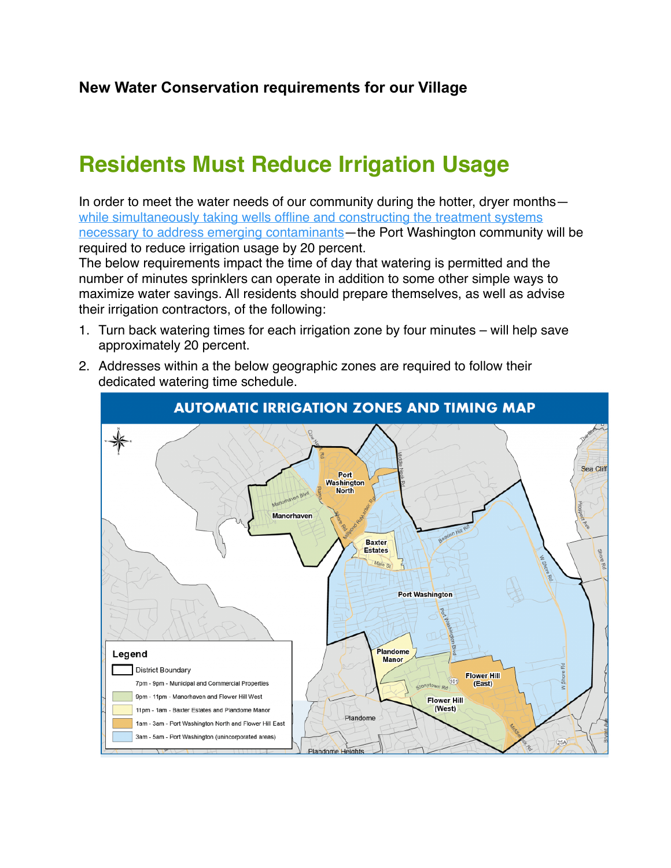## **Residents Must Reduce Irrigation Usage**

In order to meet the water needs of our community during the hotter, dryer months while simultaneously taking wells offline and constructing the treatment systems [necessary to address emerging contaminants](http://pwwd.org/wordpress/wp-content/uploads/2020/12/PWWD-Deferral-Public-Notification-For-Website-FINAL.pdf)—the Port Washington community will be required to reduce irrigation usage by 20 percent.

The below requirements impact the time of day that watering is permitted and the number of minutes sprinklers can operate in addition to some other simple ways to maximize water savings. All residents should prepare themselves, as well as advise their irrigation contractors, of the following:

- 1. Turn back watering times for each irrigation zone by four minutes will help save approximately 20 percent.
- 2. Addresses within a the below geographic zones are required to follow their dedicated watering time schedule.

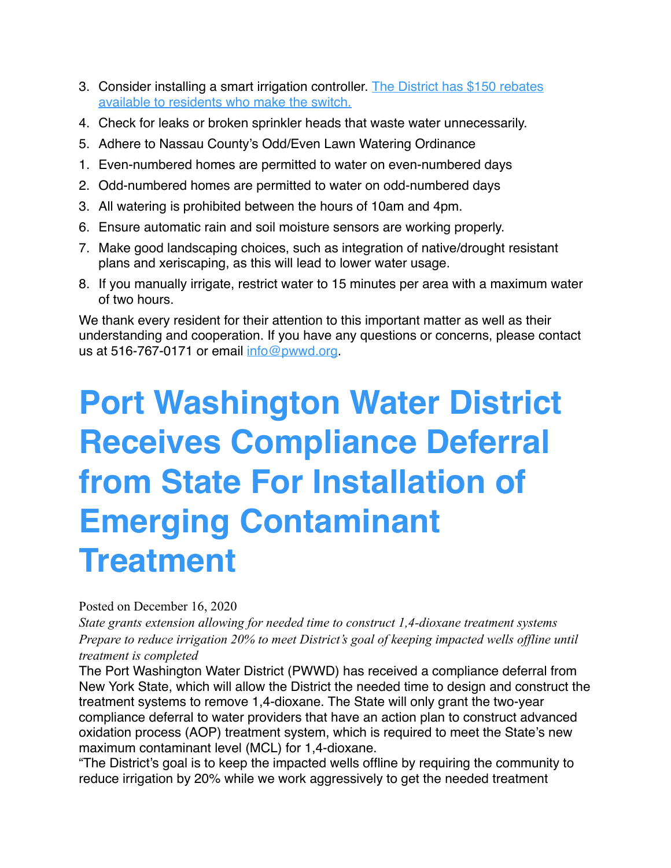- 3. Consider installing a smart irrigation controller. [The District has \\$150 rebates](http://pwwd.org/conservation/be-smart-and-green-save-15/smart-controller-rebate-program/)  [available to residents who make the switch.](http://pwwd.org/conservation/be-smart-and-green-save-15/smart-controller-rebate-program/)
- 4. Check for leaks or broken sprinkler heads that waste water unnecessarily.
- 5. Adhere to Nassau County's Odd/Even Lawn Watering Ordinance
- 1. Even-numbered homes are permitted to water on even-numbered days
- 2. Odd-numbered homes are permitted to water on odd-numbered days
- 3. All watering is prohibited between the hours of 10am and 4pm.
- 6. Ensure automatic rain and soil moisture sensors are working properly.
- 7. Make good landscaping choices, such as integration of native/drought resistant plans and xeriscaping, as this will lead to lower water usage.
- 8. If you manually irrigate, restrict water to 15 minutes per area with a maximum water of two hours.

We thank every resident for their attention to this important matter as well as their understanding and cooperation. If you have any questions or concerns, please contact us at 516-767-0171 or email [info@pwwd.org](mailto:info@pwwd.org).

## **Port Washington Water District Receives Compliance Deferral from State For Installation of Emerging Contaminant Treatment**

## Posted on December 16, 2020

*State grants extension allowing for needed time to construct 1,4-dioxane treatment systems Prepare to reduce irrigation 20% to meet District's goal of keeping impacted wells offline until treatment is completed*

The Port Washington Water District (PWWD) has received a compliance deferral from New York State, which will allow the District the needed time to design and construct the treatment systems to remove 1,4-dioxane. The State will only grant the two-year compliance deferral to water providers that have an action plan to construct advanced oxidation process (AOP) treatment system, which is required to meet the State's new maximum contaminant level (MCL) for 1,4-dioxane.

"The District's goal is to keep the impacted wells offline by requiring the community to reduce irrigation by 20% while we work aggressively to get the needed treatment